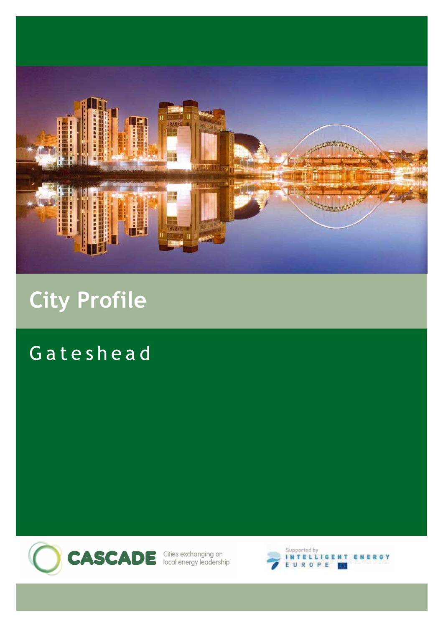

# **City Profile**

## Gateshead



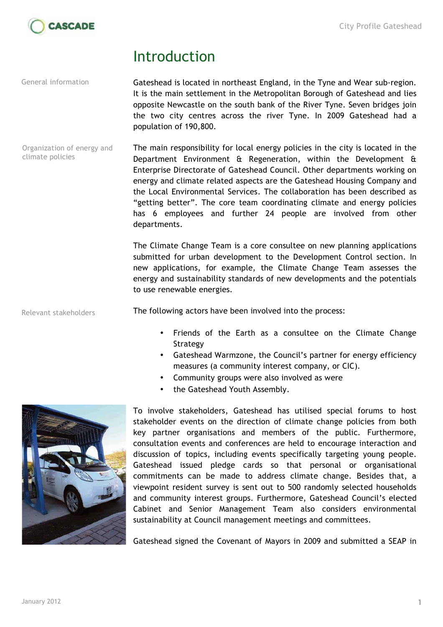

#### Introduction

General information

Gateshead is located in northeast England, in the Tyne and Wear sub-region. It is the main settlement in the Metropolitan Borough of Gateshead and lies opposite Newcastle on the south bank of the River Tyne. Seven bridges join the two city centres across the river Tyne. In 2009 Gateshead had a population of 190,800.

The main responsibility for local energy policies in the city is located in the Department Environment & Regeneration, within the Development & Enterprise Directorate of Gateshead Council. Other departments working on energy and climate related aspects are the Gateshead Housing Company and the Local Environmental Services. The collaboration has been described as "getting better". The core team coordinating climate and energy policies has 6 employees and further 24 people are involved from other departments. Organization of energy and climate policies

> The Climate Change Team is a core consultee on new planning applications submitted for urban development to the Development Control section. In new applications, for example, the Climate Change Team assesses the energy and sustainability standards of new developments and the potentials to use renewable energies.

The following actors have been involved into the process: Relevant stakeholders

- Friends of the Earth as a consultee on the Climate Change Strategy
- Gateshead Warmzone, the Council's partner for energy efficiency measures (a community interest company, or CIC).
- Community groups were also involved as were
- the Gateshead Youth Assembly.



To involve stakeholders, Gateshead has utilised special forums to host stakeholder events on the direction of climate change policies from both key partner organisations and members of the public. Furthermore, consultation events and conferences are held to encourage interaction and discussion of topics, including events specifically targeting young people. Gateshead issued pledge cards so that personal or organisational commitments can be made to address climate change. Besides that, a viewpoint resident survey is sent out to 500 randomly selected households and community interest groups. Furthermore, Gateshead Council's elected Cabinet and Senior Management Team also considers environmental sustainability at Council management meetings and committees.

Gateshead signed the Covenant of Mayors in 2009 and submitted a SEAP in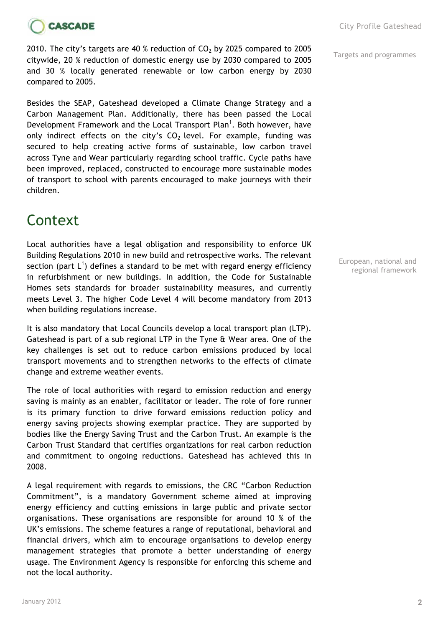

2010. The city's targets are 40 % reduction of  $CO<sub>2</sub>$  by 2025 compared to 2005<br> $\frac{1}{100000}$  Targets and programmes citywide, 20 % reduction of domestic energy use by 2030 compared to 2005 and 30 % locally generated renewable or low carbon energy by 2030 compared to 2005.

Besides the SEAP, Gateshead developed a Climate Change Strategy and a Carbon Management Plan. Additionally, there has been passed the Local Development Framework and the Local Transport Plan<sup>1</sup>. Both however, have only indirect effects on the city's  $CO<sub>2</sub>$  level. For example, funding was secured to help creating active forms of sustainable, low carbon travel across Tyne and Wear particularly regarding school traffic. Cycle paths have been improved, replaced, constructed to encourage more sustainable modes of transport to school with parents encouraged to make journeys with their children.

## **Context**

Local authorities have a legal obligation and responsibility to enforce UK Building Regulations 2010 in new build and retrospective works. The relevant section (part  $L^1$ ) defines a standard to be met with regard energy efficiency in refurbishment or new buildings. In addition, the Code for Sustainable Homes sets standards for broader sustainability measures, and currently meets Level 3. The higher Code Level 4 will become mandatory from 2013 when building regulations increase.

It is also mandatory that Local Councils develop a local transport plan (LTP). Gateshead is part of a sub regional LTP in the Tyne & Wear area. One of the key challenges is set out to reduce carbon emissions produced by local transport movements and to strengthen networks to the effects of climate change and extreme weather events.

The role of local authorities with regard to emission reduction and energy saving is mainly as an enabler, facilitator or leader. The role of fore runner is its primary function to drive forward emissions reduction policy and energy saving projects showing exemplar practice. They are supported by bodies like the Energy Saving Trust and the Carbon Trust. An example is the Carbon Trust Standard that certifies organizations for real carbon reduction and commitment to ongoing reductions. Gateshead has achieved this in 2008.

A legal requirement with regards to emissions, the CRC "Carbon Reduction Commitment", is a mandatory Government scheme aimed at improving energy efficiency and cutting emissions in large public and private sector organisations. These organisations are responsible for around 10 % of the UK's emissions. The scheme features a range of reputational, behavioral and financial drivers, which aim to encourage organisations to develop energy management strategies that promote a better understanding of energy usage. The Environment Agency is responsible for enforcing this scheme and not the local authority.

European, national and regional framework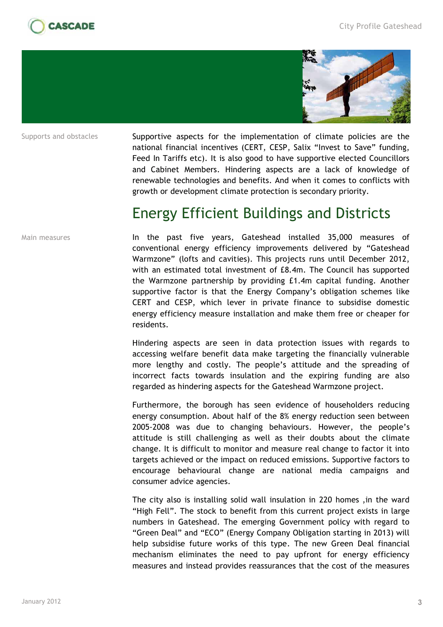



Supports and obstacles

Supportive aspects for the implementation of climate policies are the national financial incentives (CERT, CESP, Salix "Invest to Save" funding, Feed In Tariffs etc). It is also good to have supportive elected Councillors and Cabinet Members. Hindering aspects are a lack of knowledge of renewable technologies and benefits. And when it comes to conflicts with growth or development climate protection is secondary priority.

#### Energy Efficient Buildings and Districts

Main measures

In the past five years, Gateshead installed 35,000 measures of conventional energy efficiency improvements delivered by "Gateshead Warmzone" (lofts and cavities). This projects runs until December 2012, with an estimated total investment of £8.4m. The Council has supported the Warmzone partnership by providing £1.4m capital funding. Another supportive factor is that the Energy Company's obligation schemes like CERT and CESP, which lever in private finance to subsidise domestic energy efficiency measure installation and make them free or cheaper for residents.

Hindering aspects are seen in data protection issues with regards to accessing welfare benefit data make targeting the financially vulnerable more lengthy and costly. The people's attitude and the spreading of incorrect facts towards insulation and the expiring funding are also regarded as hindering aspects for the Gateshead Warmzone project.

Furthermore, the borough has seen evidence of householders reducing energy consumption. About half of the 8% energy reduction seen between 2005-2008 was due to changing behaviours. However, the people's attitude is still challenging as well as their doubts about the climate change. It is difficult to monitor and measure real change to factor it into targets achieved or the impact on reduced emissions. Supportive factors to encourage behavioural change are national media campaigns and consumer advice agencies.

The city also is installing solid wall insulation in 220 homes ,in the ward "High Fell". The stock to benefit from this current project exists in large numbers in Gateshead. The emerging Government policy with regard to "Green Deal" and "ECO" (Energy Company Obligation starting in 2013) will help subsidise future works of this type. The new Green Deal financial mechanism eliminates the need to pay upfront for energy efficiency measures and instead provides reassurances that the cost of the measures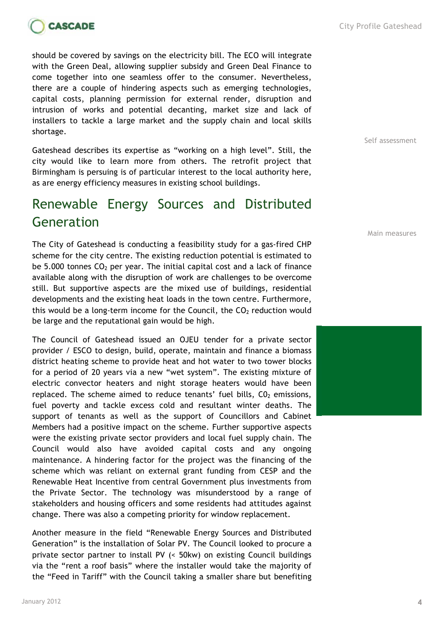

should be covered by savings on the electricity bill. The ECO will integrate with the Green Deal, allowing supplier subsidy and Green Deal Finance to come together into one seamless offer to the consumer. Nevertheless, there are a couple of hindering aspects such as emerging technologies, capital costs, planning permission for external render, disruption and intrusion of works and potential decanting, market size and lack of installers to tackle a large market and the supply chain and local skills shortage.

Gateshead describes its expertise as "working on a high level". Still, the city would like to learn more from others. The retrofit project that Birmingham is persuing is of particular interest to the local authority here, as are energy efficiency measures in existing school buildings.

#### Renewable Energy Sources and Distributed Generation

The City of Gateshead is conducting a feasibility study for a gas-fired CHP scheme for the city centre. The existing reduction potential is estimated to be 5.000 tonnes  $CO<sub>2</sub>$  per year. The initial capital cost and a lack of finance available along with the disruption of work are challenges to be overcome still. But supportive aspects are the mixed use of buildings, residential developments and the existing heat loads in the town centre. Furthermore, this would be a long-term income for the Council, the  $CO<sub>2</sub>$  reduction would be large and the reputational gain would be high.

The Council of Gateshead issued an OJEU tender for a private sector provider / ESCO to design, build, operate, maintain and finance a biomass district heating scheme to provide heat and hot water to two tower blocks for a period of 20 years via a new "wet system". The existing mixture of electric convector heaters and night storage heaters would have been replaced. The scheme aimed to reduce tenants' fuel bills,  $CO<sub>2</sub>$  emissions, fuel poverty and tackle excess cold and resultant winter deaths. The support of tenants as well as the support of Councillors and Cabinet Members had a positive impact on the scheme. Further supportive aspects were the existing private sector providers and local fuel supply chain. The Council would also have avoided capital costs and any ongoing maintenance. A hindering factor for the project was the financing of the scheme which was reliant on external grant funding from CESP and the Renewable Heat Incentive from central Government plus investments from the Private Sector. The technology was misunderstood by a range of stakeholders and housing officers and some residents had attitudes against change. There was also a competing priority for window replacement.

Another measure in the field "Renewable Energy Sources and Distributed Generation" is the installation of Solar PV. The Council looked to procure a private sector partner to install PV (< 50kw) on existing Council buildings via the "rent a roof basis" where the installer would take the majority of the "Feed in Tariff" with the Council taking a smaller share but benefiting Self assessment

Main measures

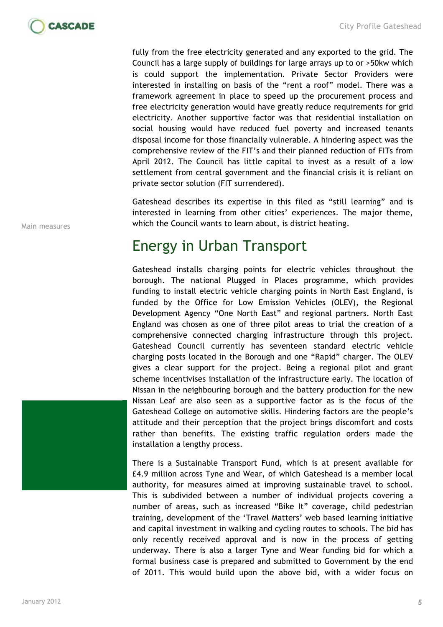

fully from the free electricity generated and any exported to the grid. The Council has a large supply of buildings for large arrays up to or >50kw which is could support the implementation. Private Sector Providers were interested in installing on basis of the "rent a roof" model. There was a framework agreement in place to speed up the procurement process and free electricity generation would have greatly reduce requirements for grid electricity. Another supportive factor was that residential installation on social housing would have reduced fuel poverty and increased tenants disposal income for those financially vulnerable. A hindering aspect was the comprehensive review of the FIT's and their planned reduction of FITs from April 2012. The Council has little capital to invest as a result of a low settlement from central government and the financial crisis it is reliant on private sector solution (FIT surrendered).

Gateshead describes its expertise in this filed as "still learning" and is interested in learning from other cities' experiences. The major theme, which the Council wants to learn about, is district heating.

#### Energy in Urban Transport

Gateshead installs charging points for electric vehicles throughout the borough. The national Plugged in Places programme, which provides funding to install electric vehicle charging points in North East England, is funded by the Office for Low Emission Vehicles (OLEV), the Regional Development Agency "One North East" and regional partners. North East England was chosen as one of three pilot areas to trial the creation of a comprehensive connected charging infrastructure through this project. Gateshead Council currently has seventeen standard electric vehicle charging posts located in the Borough and one "Rapid" charger. The OLEV gives a clear support for the project. Being a regional pilot and grant scheme incentivises installation of the infrastructure early. The location of Nissan in the neighbouring borough and the battery production for the new Nissan Leaf are also seen as a supportive factor as is the focus of the Gateshead College on automotive skills. Hindering factors are the people's attitude and their perception that the project brings discomfort and costs rather than benefits. The existing traffic regulation orders made the installation a lengthy process.

There is a Sustainable Transport Fund, which is at present available for £4.9 million across Tyne and Wear, of which Gateshead is a member local authority, for measures aimed at improving sustainable travel to school. This is subdivided between a number of individual projects covering a number of areas, such as increased "Bike It" coverage, child pedestrian training, development of the 'Travel Matters' web based learning initiative and capital investment in walking and cycling routes to schools. The bid has only recently received approval and is now in the process of getting underway. There is also a larger Tyne and Wear funding bid for which a formal business case is prepared and submitted to Government by the end of 2011. This would build upon the above bid, with a wider focus on

Main measures

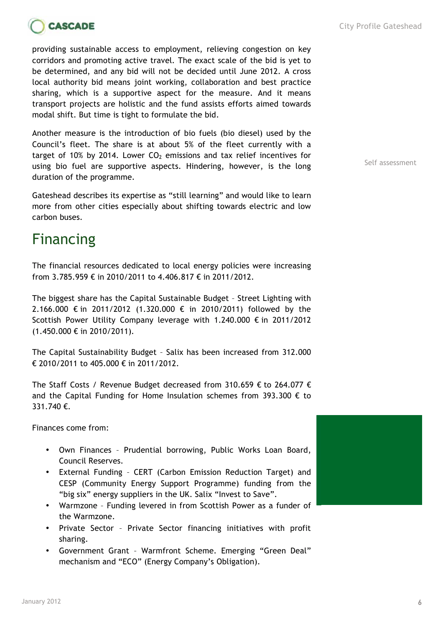

providing sustainable access to employment, relieving congestion on key corridors and promoting active travel. The exact scale of the bid is yet to be determined, and any bid will not be decided until June 2012. A cross local authority bid means joint working, collaboration and best practice sharing, which is a supportive aspect for the measure. And it means transport projects are holistic and the fund assists efforts aimed towards modal shift. But time is tight to formulate the bid.

Another measure is the introduction of bio fuels (bio diesel) used by the Council's fleet. The share is at about 5% of the fleet currently with a target of 10% by 2014. Lower  $CO<sub>2</sub>$  emissions and tax relief incentives for using bio fuel are supportive aspects. Hindering, however, is the long duration of the programme.

Gateshead describes its expertise as "still learning" and would like to learn more from other cities especially about shifting towards electric and low carbon buses.

### Financing

The financial resources dedicated to local energy policies were increasing from 3.785.959 € in 2010/2011 to 4.406.817 € in 2011/2012.

The biggest share has the Capital Sustainable Budget – Street Lighting with 2.166.000 € in 2011/2012 (1.320.000 € in 2010/2011) followed by the Scottish Power Utility Company leverage with 1.240.000 € in 2011/2012 (1.450.000 € in 2010/2011).

The Capital Sustainability Budget – Salix has been increased from 312.000 € 2010/2011 to 405.000 € in 2011/2012.

The Staff Costs / Revenue Budget decreased from 310.659  $\epsilon$  to 264.077  $\epsilon$ and the Capital Funding for Home Insulation schemes from 393.300  $\epsilon$  to 331.740 €.

Finances come from:

- Own Finances Prudential borrowing, Public Works Loan Board, Council Reserves.
- External Funding CERT (Carbon Emission Reduction Target) and CESP (Community Energy Support Programme) funding from the "big six" energy suppliers in the UK. Salix "Invest to Save".
- Warmzone Funding levered in from Scottish Power as a funder of the Warmzone.
- Private Sector Private Sector financing initiatives with profit sharing.
- Government Grant Warmfront Scheme. Emerging "Green Deal" mechanism and "ECO" (Energy Company's Obligation).

Self assessment

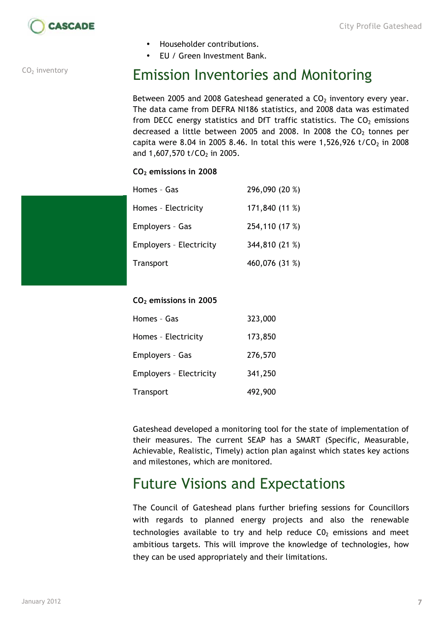

 $CO<sub>2</sub>$  inventory

- Householder contributions.
- EU / Green Investment Bank.

### Emission Inventories and Monitoring

Between 2005 and 2008 Gateshead generated a  $CO<sub>2</sub>$  inventory every year. The data came from DEFRA NI186 statistics, and 2008 data was estimated from DECC energy statistics and DfT traffic statistics. The  $CO<sub>2</sub>$  emissions decreased a little between 2005 and 2008. In 2008 the  $CO<sub>2</sub>$  tonnes per capita were 8.04 in 2005 8.46. In total this were 1,526,926 t/CO<sub>2</sub> in 2008 and 1,607,570 t/CO<sub>2</sub> in 2005.

#### **CO2 emissions in 2008**

| Homes - Gas                    | 296,090 (20 %) |
|--------------------------------|----------------|
| Homes - Electricity            | 171,840 (11 %) |
| Employers - Gas                | 254,110 (17 %) |
| <b>Employers - Electricity</b> | 344,810 (21 %) |
| Transport                      | 460,076 (31 %) |

#### **CO2 emissions in 2005**

| Homes - Gas                    | 323,000 |
|--------------------------------|---------|
| Homes - Electricity            | 173,850 |
| Employers - Gas                | 276,570 |
| <b>Employers - Electricity</b> | 341,250 |
| Transport                      | 492,900 |

Gateshead developed a monitoring tool for the state of implementation of their measures. The current SEAP has a SMART (Specific, Measurable, Achievable, Realistic, Timely) action plan against which states key actions and milestones, which are monitored.

### Future Visions and Expectations

The Council of Gateshead plans further briefing sessions for Councillors with regards to planned energy projects and also the renewable technologies available to try and help reduce  $CO<sub>2</sub>$  emissions and meet ambitious targets. This will improve the knowledge of technologies, how they can be used appropriately and their limitations.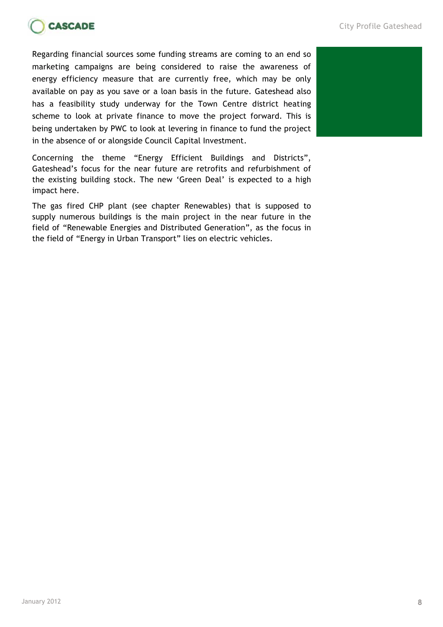

Regarding financial sources some funding streams are coming to an end so marketing campaigns are being considered to raise the awareness of energy efficiency measure that are currently free, which may be only available on pay as you save or a loan basis in the future. Gateshead also has a feasibility study underway for the Town Centre district heating scheme to look at private finance to move the project forward. This is being undertaken by PWC to look at levering in finance to fund the project in the absence of or alongside Council Capital Investment.

Concerning the theme "Energy Efficient Buildings and Districts", Gateshead's focus for the near future are retrofits and refurbishment of the existing building stock. The new 'Green Deal' is expected to a high impact here.

The gas fired CHP plant (see chapter Renewables) that is supposed to supply numerous buildings is the main project in the near future in the field of "Renewable Energies and Distributed Generation", as the focus in the field of "Energy in Urban Transport" lies on electric vehicles.